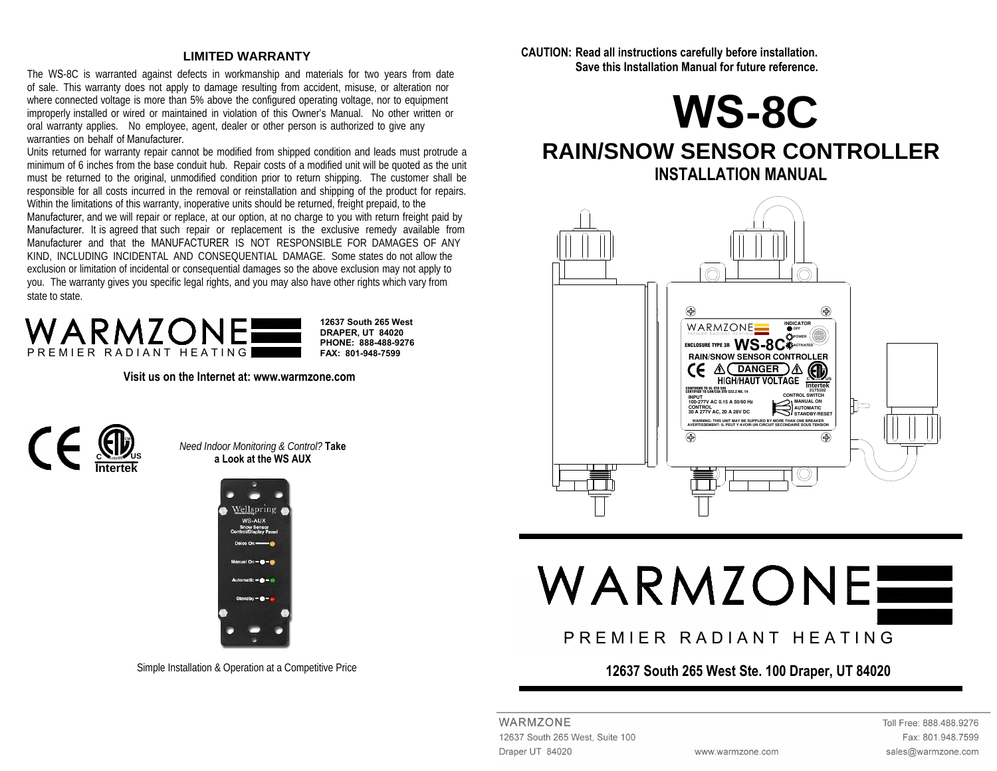#### **LIMITED WARRANTY**

The WS-8C is warranted against defects in workmanship and materials for two years from date of sale. This warranty does not apply to damage resulting from accident, misuse, or alteration nor where connected voltage is more than 5% above the configured operating voltage, nor to equipment improperly installed or wired or maintained in violation of this Owner's Manual. No other written or oral warranty applies. No employee, agent, dealer or other person is authorized to give any warranties on behalf of Manufacturer.

 Units returned for warranty repair cannot be modified from shipped condition and leads must protrude a minimum of 6 inches from the base conduit hub. Repair costs of a modified unit will be quoted as the unit must be returned to the original, unmodified condition prior to return shipping. The customer shall be responsible for all costs incurred in the removal or reinstallation and shipping of the product for repairs. Within the limitations of this warranty, inoperative units should be returned, freight prepaid, to the Manufacturer, and we will repair or replace, at our option, at no charge to you with return freight paid by Manufacturer. It is agreed that such repair or replacement is the exclusive remedy available from Manufacturer and that the MANUFACTURER IS NOT RESPONSIBLE FOR DAMAGES OF ANY KIND, INCLUDING INCIDENTAL AND CONSEQUENTIAL DAMAGE. Some states do not allow the exclusion or limitation of incidental or consequential damages so the above exclusion may not apply to you. The warranty gives you specific legal rights, and you may also have other rights which vary from state to state.



**Visit us on the Internet at: www.warmzone.com** 



*Need Indoor Monitoring & Control?* **Take a Look at the WS AUX**



Simple Installation & Operation at a Competitive Price

**CAUTION: Read all instructions carefully before installation. Save this Installation Manual for future reference.** 



# **RAIN/SNOW SENSOR CONTROLLER INSTALLATION MANUAL**



# WARMZONE

# P R E M I E R R A D I A N T H E A T I N G

#### **12637 South 265 West Ste. 100 Draper, UT 84020**

WARMZONE 12637 South 265 West, Suite 100 Draper UT 84020

Toll Free: 888.488.9276 Fax: 801.948.7599 sales@warmzone.com

www.warmzone.com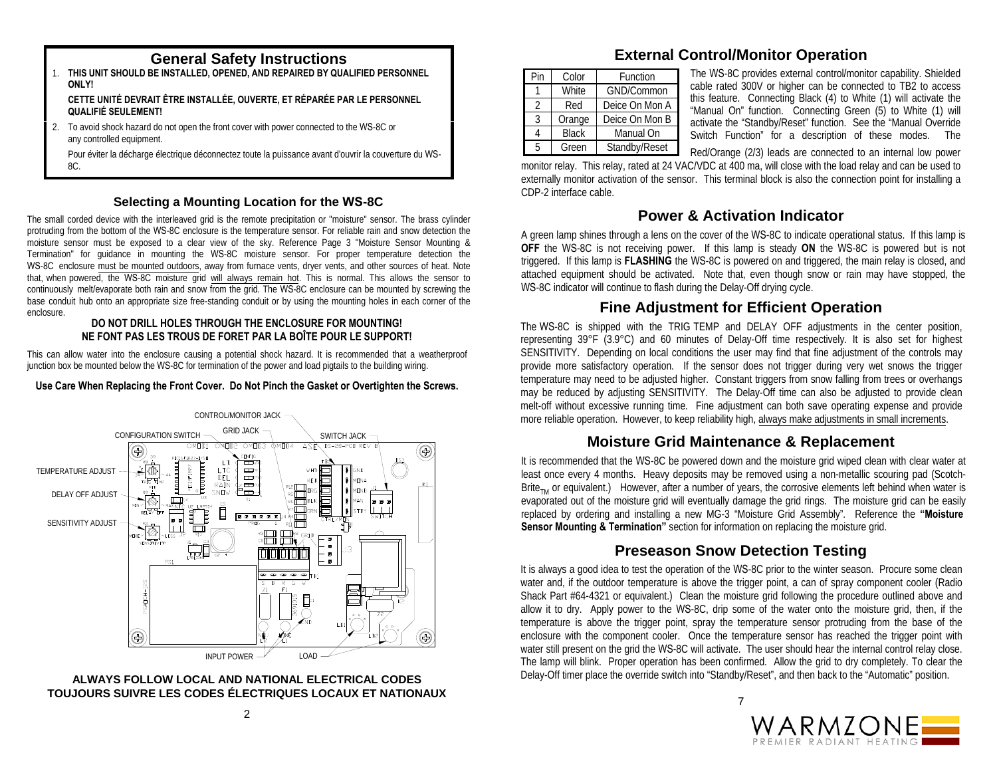- 1. **THIS UNIT SHOULD BE INSTALLED, OPENED, AND REPAIRED BY QUALIFIED PERSONNEL ONLY! CETTE UNITÉ DEVRAIT ÊTRE INSTALLÉE, OUVERTE, ET RÉPARÉE PAR LE PERSONNEL QUALIFIÉ SEULEMENT!**
- 2. To avoid shock hazard do not open the front cover with power connected to the WS-8C or any controlled equipment.

Pour éviter la décharge électrique déconnectez toute la puissance avant d'ouvrir la couverture du WS-8C.

#### **Selecting a Mounting Location for the WS-8C**

The small corded device with the interleaved grid is the remote precipitation or "moisture" sensor. The brass cylinder protruding from the bottom of the WS-8C enclosure is the temperature sensor. For reliable rain and snow detection the moisture sensor must be exposed to a clear view of the sky. Reference Page 3 "Moisture Sensor Mounting & Termination" for guidance in mounting the WS-8C moisture sensor. For proper temperature detection the WS-8C enclosure must be mounted outdoors, away from furnace vents, dryer vents, and other sources of heat. Note that, when powered, the WS-8C moisture grid will always remain hot. This is normal. This allows the sensor to continuously melt/evaporate both rain and snow from the grid. The WS-8C enclosure can be mounted by screwing the base conduit hub onto an appropriate size free-standing conduit or by using the mounting holes in each corner of the enclosure.

#### **DO NOT DRILL HOLES THROUGH THE ENCLOSURE FOR MOUNTING! NE FONT PAS LES TROUS DE FORET PAR LA BOÎTE POUR LE SUPPORT!**

This can allow water into the enclosure causing a potential shock hazard. It is recommended that a weatherproof junction box be mounted below the WS-8C for termination of the power and load pigtails to the building wiring.

#### **Use Care When Replacing the Front Cover. Do Not Pinch the Gasket or Overtighten the Screws.**



#### **ALWAYS FOLLOW LOCAL AND NATIONAL ELECTRICAL CODES TOUJOURS SUIVRE LES CODES ÉLECTRIQUES LOCAUX ET NATIONAUX**

# **General Safety Instructions External Control/Monitor Operation**

| Pin            | Color        | Function       |  |  |
|----------------|--------------|----------------|--|--|
|                | White        | GND/Common     |  |  |
| $\mathfrak{D}$ | Red          | Deice On Mon A |  |  |
| 3              | Orange       | Deice On Mon B |  |  |
| 4              | <b>Black</b> | Manual On      |  |  |
| 5              | Green        | Standby/Reset  |  |  |

The WS-8C provides external control/monitor capability. Shielded cable rated 300V or higher can be connected to TB2 to access this feature. Connecting Black (4) to White (1) will activate the "Manual On" function. Connecting Green (5) to White (1) will activate the "Standby/Reset" function. See the "Manual Override Switch Function" for a description of these modes. The

Red/Orange (2/3) leads are connected to an internal low power

monitor relay. This relay, rated at 24 VAC/VDC at 400 ma, will close with the load relay and can be used to externally monitor activation of the sensor. This terminal block is also the connection point for installing a CDP-2 interface cable.

# **Power & Activation Indicator**

A green lamp shines through a lens on the cover of the WS-8C to indicate operational status. If this lamp is **OFF** the WS-8C is not receiving power. If this lamp is steady **ON** the WS-8C is powered but is not triggered. If this lamp is **FLASHING** the WS-8C is powered on and triggered, the main relay is closed, and attached equipment should be activated. Note that, even though snow or rain may have stopped, the WS-8C indicator will continue to flash during the Delay-Off drying cycle.

# **Fine Adjustment for Efficient Operation**

The WS-8C is shipped with the TRIG TEMP and DELAY OFF adjustments in the center position, representing 39°F (3.9°C) and 60 minutes of Delay-Off time respectively. It is also set for highest SENSITIVITY. Depending on local conditions the user may find that fine adjustment of the controls may provide more satisfactory operation. If the sensor does not trigger during very wet snows the trigger temperature may need to be adjusted higher. Constant triggers from snow falling from trees or overhangs may be reduced by adjusting SENSITIVITY. The Delay-Off time can also be adjusted to provide clean melt-off without excessive running time. Fine adjustment can both save operating expense and provide more reliable operation. However, to keep reliability high, always make adjustments in small increments.

# **Moisture Grid Maintenance & Replacement**

It is recommended that the WS-8C be powered down and the moisture grid wiped clean with clear water at least once every 4 months. Heavy deposits may be removed using a non-metallic scouring pad (Scotch-Brite<sub>TM</sub> or equivalent.) However, after a number of years, the corrosive elements left behind when water is evaporated out of the moisture grid will eventually damage the grid rings. The moisture grid can be easily replaced by ordering and installing a new MG-3 "Moisture Grid Assembly". Reference the **"Moisture Sensor Mounting & Termination"** section for information on replacing the moisture grid.

# **Preseason Snow Detection Testing**

It is always a good idea to test the operation of the WS-8C prior to the winter season. Procure some clean water and, if the outdoor temperature is above the trigger point, a can of spray component cooler (Radio Shack Part #64-4321 or equivalent.) Clean the moisture grid following the procedure outlined above and allow it to dry. Apply power to the WS-8C, drip some of the water onto the moisture grid, then, if the temperature is above the trigger point, spray the temperature sensor protruding from the base of the enclosure with the component cooler. Once the temperature sensor has reached the trigger point with water still present on the grid the WS-8C will activate. The user should hear the internal control relay close. The lamp will blink. Proper operation has been confirmed. Allow the grid to dry completely. To clear the Delay-Off timer place the override switch into "Standby/Reset", and then back to the "Automatic" position.

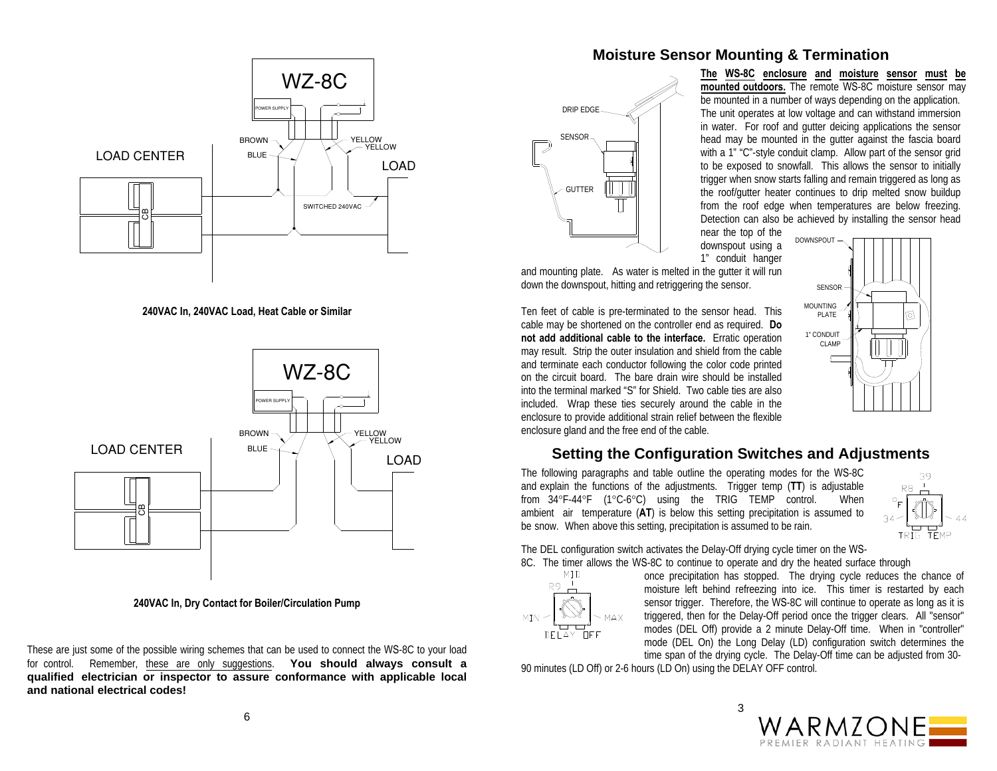

**240VAC In, 240VAC Load, Heat Cable or Similar** 



**240VAC In, Dry Contact for Boiler/Circulation Pump** 

These are just some of the possible wiring schemes that can be used to connect the WS-8C to your load for control. Remember, these are only suggestions. **You should always consult a qualified electrician or inspector to assure conformance with applicable local and national electrical codes!**

#### **Moisture Sensor Mounting & Termination**



**The WS-8C enclosure and moisture sensor must be mounted outdoors.** The remote WS-8C moisture sensor may be mounted in a number of ways depending on the application. The unit operates at low voltage and can withstand immersion in water. For roof and gutter deicing applications the sensor head may be mounted in the gutter against the fascia board with a 1" "C"-style conduit clamp. Allow part of the sensor grid to be exposed to snowfall. This allows the sensor to initially trigger when snow starts falling and remain triggered as long as the roof/gutter heater continues to drip melted snow buildup from the roof edge when temperatures are below freezing. Detection can also be achieved by installing the sensor head

> SENSORMOUNTING PLATE1" CONDUITCLAMP

near the top of the downspout using a 1" conduit hanger DOWNSPOUT

and mounting plate. As water is melted in the gutter it will run down the downspout, hitting and retriggering the sensor.

Ten feet of cable is pre-terminated to the sensor head. This cable may be shortened on the controller end as required. **Do not add additional cable to the interface.** Erratic operation may result. Strip the outer insulation and shield from the cable and terminate each conductor following the color code printed on the circuit board. The bare drain wire should be installed into the terminal marked "S" for Shield. Two cable ties are also included. Wrap these ties securely around the cable in the enclosure to provide additional strain relief between the flexible enclosure gland and the free end of the cable.

# **Setting the Configuration Switches and Adjustments**

The following paragraphs and table outline the operating modes for the WS-8C and explain the functions of the adjustments. Trigger temp (**TT**) is adjustable from 34°F-44°F (1°C-6°C) using the TRIG TEMP control. When ambient air temperature (**AT**) is below this setting precipitation is assumed to be snow. When above this setting, precipitation is assumed to be rain.



୲୭

The DEL configuration switch activates the Delay-Off drying cycle timer on the WS-The DEL configuration switch activates the Delay-Off drying cycle timer on the WS-<br>8C. The timer allows the WS-8C to continue to operate and dry the heated surface through



MID once precipitation has stopped. The drying cycle reduces the chance of  $R9 \perp$ moisture left behind refreezing into ice. This timer is restarted by each sensor trigger. Therefore, the WS-8C will continue to operate as long as it is triggered, then for the Delay-Off period once the trigger clears. All "sensor" modes (DEL Off) provide a 2 minute Delay-Off time. When in "controller" mode (DEL On) the Long Delay (LD) configuration switch determines the time span of the drying cycle. The Delay-Off time can be adjusted from 30-

90 minutes (LD Off) or 2-6 hours (LD On) using the DELAY OFF control.